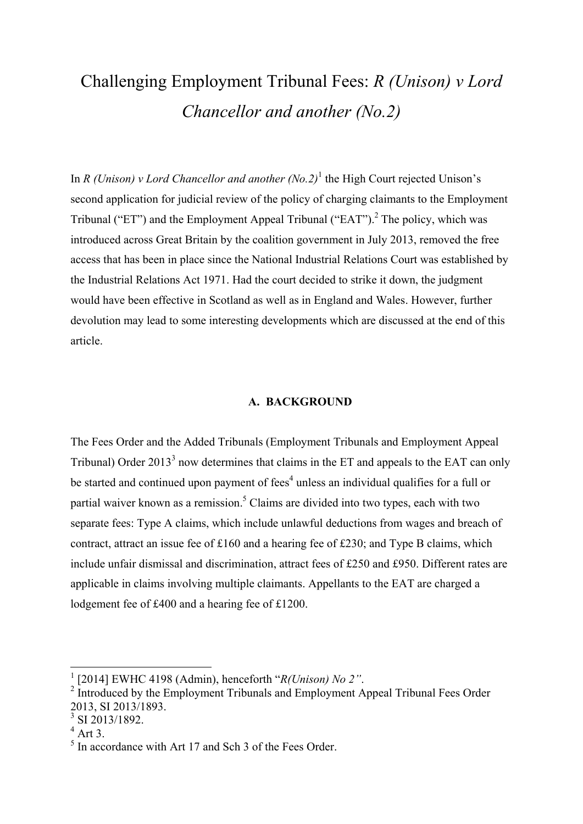# Challenging Employment Tribunal Fees: *R (Unison) v Lord Chancellor and another (No.2)*

In *R* (Unison) v Lord Chancellor and another (No.2)<sup>1</sup> the High Court rejected Unison's second application for judicial review of the policy of charging claimants to the Employment Tribunal ("ET") and the Employment Appeal Tribunal ("EAT").<sup>2</sup> The policy, which was introduced across Great Britain by the coalition government in July 2013, removed the free access that has been in place since the National Industrial Relations Court was established by the Industrial Relations Act 1971. Had the court decided to strike it down, the judgment would have been effective in Scotland as well as in England and Wales. However, further devolution may lead to some interesting developments which are discussed at the end of this article.

### **A. BACKGROUND**

The Fees Order and the Added Tribunals (Employment Tribunals and Employment Appeal Tribunal) Order  $2013<sup>3</sup>$  now determines that claims in the ET and appeals to the EAT can only be started and continued upon payment of fees<sup>4</sup> unless an individual qualifies for a full or partial waiver known as a remission.<sup>5</sup> Claims are divided into two types, each with two separate fees: Type A claims, which include unlawful deductions from wages and breach of contract, attract an issue fee of £160 and a hearing fee of £230; and Type B claims, which include unfair dismissal and discrimination, attract fees of £250 and £950. Different rates are applicable in claims involving multiple claimants. Appellants to the EAT are charged a lodgement fee of £400 and a hearing fee of £1200.

<sup>1</sup> [2014] EWHC 4198 (Admin), henceforth "*R(Unison) No 2"*.

<sup>&</sup>lt;sup>2</sup> Introduced by the Employment Tribunals and Employment Appeal Tribunal Fees Order 2013, SI 2013/1893.

<sup>3</sup> SI 2013/1892.

 $4$  Art 3.

<sup>&</sup>lt;sup>5</sup> In accordance with Art 17 and Sch 3 of the Fees Order.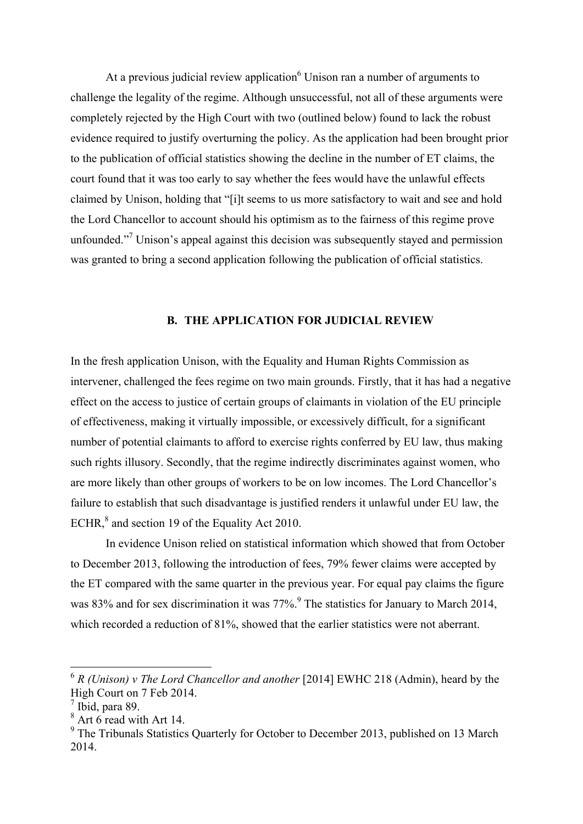At a previous judicial review application $6$  Unison ran a number of arguments to challenge the legality of the regime. Although unsuccessful, not all of these arguments were completely rejected by the High Court with two (outlined below) found to lack the robust evidence required to justify overturning the policy. As the application had been brought prior to the publication of official statistics showing the decline in the number of ET claims, the court found that it was too early to say whether the fees would have the unlawful effects claimed by Unison, holding that "[i]t seems to us more satisfactory to wait and see and hold the Lord Chancellor to account should his optimism as to the fairness of this regime prove unfounded."<sup>7</sup> Unison's appeal against this decision was subsequently stayed and permission was granted to bring a second application following the publication of official statistics.

### **B. THE APPLICATION FOR JUDICIAL REVIEW**

In the fresh application Unison, with the Equality and Human Rights Commission as intervener, challenged the fees regime on two main grounds. Firstly, that it has had a negative effect on the access to justice of certain groups of claimants in violation of the EU principle of effectiveness, making it virtually impossible, or excessively difficult, for a significant number of potential claimants to afford to exercise rights conferred by EU law, thus making such rights illusory. Secondly, that the regime indirectly discriminates against women, who are more likely than other groups of workers to be on low incomes. The Lord Chancellor's failure to establish that such disadvantage is justified renders it unlawful under EU law, the ECHR,<sup>8</sup> and section 19 of the Equality Act 2010.

In evidence Unison relied on statistical information which showed that from October to December 2013, following the introduction of fees, 79% fewer claims were accepted by the ET compared with the same quarter in the previous year. For equal pay claims the figure was 83% and for sex discrimination it was  $77\%$ . <sup>9</sup> The statistics for January to March 2014, which recorded a reduction of 81%, showed that the earlier statistics were not aberrant.

 $6 R$  (Unison) v The Lord Chancellor and another [2014] EWHC 218 (Admin), heard by the High Court on 7 Feb 2014.

<sup>7</sup> Ibid, para 89.

 $8$  Art  $6$  read with Art 14.

<sup>&</sup>lt;sup>9</sup> The Tribunals Statistics Quarterly for October to December 2013, published on 13 March 2014.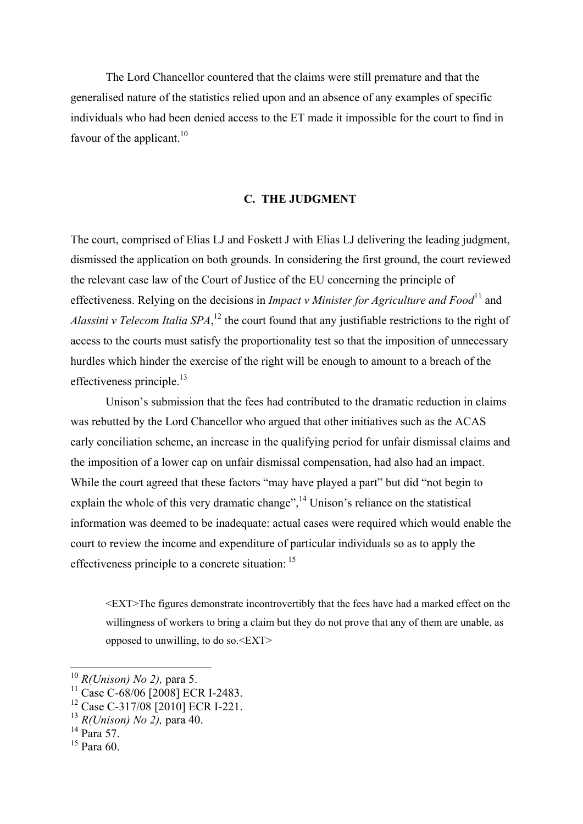The Lord Chancellor countered that the claims were still premature and that the generalised nature of the statistics relied upon and an absence of any examples of specific individuals who had been denied access to the ET made it impossible for the court to find in favour of the applicant.<sup>10</sup>

#### **C. THE JUDGMENT**

The court, comprised of Elias LJ and Foskett J with Elias LJ delivering the leading judgment, dismissed the application on both grounds. In considering the first ground, the court reviewed the relevant case law of the Court of Justice of the EU concerning the principle of effectiveness. Relying on the decisions in *Impact v Minister for Agriculture and Food*<sup>11</sup> and *Alassini v Telecom Italia SPA*, <sup>12</sup> the court found that any justifiable restrictions to the right of access to the courts must satisfy the proportionality test so that the imposition of unnecessary hurdles which hinder the exercise of the right will be enough to amount to a breach of the effectiveness principle.<sup>13</sup>

Unison's submission that the fees had contributed to the dramatic reduction in claims was rebutted by the Lord Chancellor who argued that other initiatives such as the ACAS early conciliation scheme, an increase in the qualifying period for unfair dismissal claims and the imposition of a lower cap on unfair dismissal compensation, had also had an impact. While the court agreed that these factors "may have played a part" but did "not begin to explain the whole of this very dramatic change",<sup>14</sup> Unison's reliance on the statistical information was deemed to be inadequate: actual cases were required which would enable the court to review the income and expenditure of particular individuals so as to apply the effectiveness principle to a concrete situation: <sup>15</sup>

<EXT>The figures demonstrate incontrovertibly that the fees have had a marked effect on the willingness of workers to bring a claim but they do not prove that any of them are unable, as opposed to unwilling, to do so.<EXT>

**.** 

 $15$  Para 60.

<sup>10</sup> *R(Unison) No 2),* para 5.

 $^{11}$  Case C-68/06 [2008] ECR I-2483.

<sup>12</sup> Case C-317/08 [2010] ECR I-221.

<sup>13</sup> *R(Unison) No 2),* para 40.

<sup>&</sup>lt;sup>14</sup> Para 57.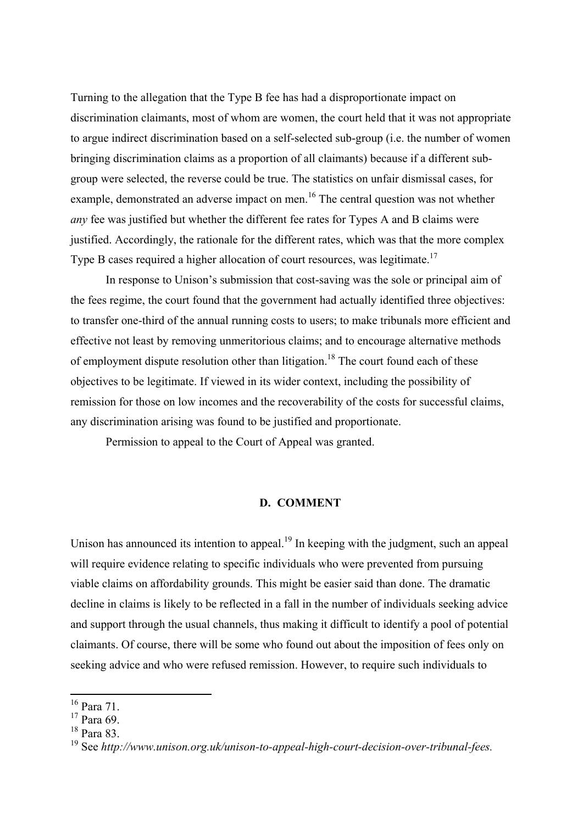Turning to the allegation that the Type B fee has had a disproportionate impact on discrimination claimants, most of whom are women, the court held that it was not appropriate to argue indirect discrimination based on a self-selected sub-group (i.e. the number of women bringing discrimination claims as a proportion of all claimants) because if a different subgroup were selected, the reverse could be true. The statistics on unfair dismissal cases, for example, demonstrated an adverse impact on men.<sup>16</sup> The central question was not whether *any* fee was justified but whether the different fee rates for Types A and B claims were justified. Accordingly, the rationale for the different rates, which was that the more complex Type B cases required a higher allocation of court resources, was legitimate.<sup>17</sup>

In response to Unison's submission that cost-saving was the sole or principal aim of the fees regime, the court found that the government had actually identified three objectives: to transfer one-third of the annual running costs to users; to make tribunals more efficient and effective not least by removing unmeritorious claims; and to encourage alternative methods of employment dispute resolution other than litigation.<sup>18</sup> The court found each of these objectives to be legitimate. If viewed in its wider context, including the possibility of remission for those on low incomes and the recoverability of the costs for successful claims, any discrimination arising was found to be justified and proportionate.

Permission to appeal to the Court of Appeal was granted.

#### **D. COMMENT**

Unison has announced its intention to appeal.<sup>19</sup> In keeping with the judgment, such an appeal will require evidence relating to specific individuals who were prevented from pursuing viable claims on affordability grounds. This might be easier said than done. The dramatic decline in claims is likely to be reflected in a fall in the number of individuals seeking advice and support through the usual channels, thus making it difficult to identify a pool of potential claimants. Of course, there will be some who found out about the imposition of fees only on seeking advice and who were refused remission. However, to require such individuals to

1

<sup>16</sup> Para 71.

<sup>&</sup>lt;sup>17</sup> Para 69.

<sup>&</sup>lt;sup>18</sup> Para 83.

<sup>19</sup> See *http://www.unison.org.uk/unison-to-appeal-high-court-decision-over-tribunal-fees.*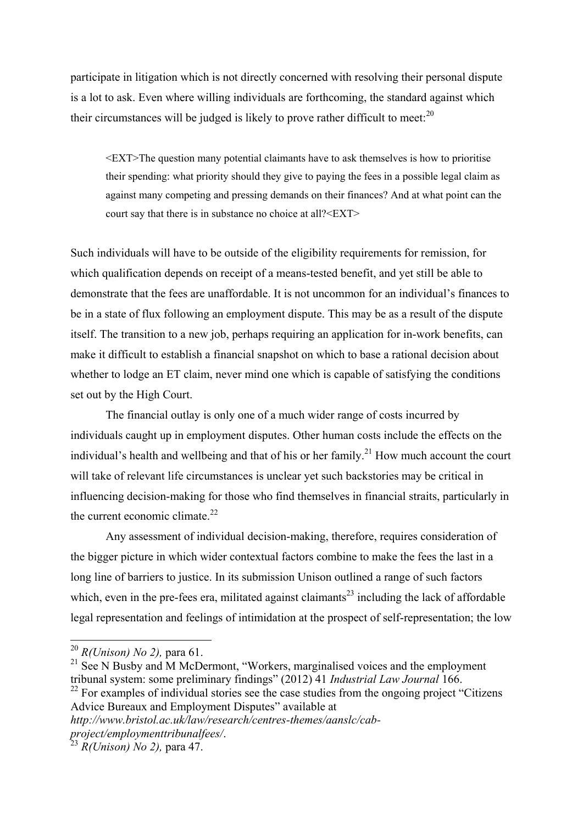participate in litigation which is not directly concerned with resolving their personal dispute is a lot to ask. Even where willing individuals are forthcoming, the standard against which their circumstances will be judged is likely to prove rather difficult to meet: $^{20}$ 

<EXT>The question many potential claimants have to ask themselves is how to prioritise their spending: what priority should they give to paying the fees in a possible legal claim as against many competing and pressing demands on their finances? And at what point can the court say that there is in substance no choice at all?<EXT>

Such individuals will have to be outside of the eligibility requirements for remission, for which qualification depends on receipt of a means-tested benefit, and yet still be able to demonstrate that the fees are unaffordable. It is not uncommon for an individual's finances to be in a state of flux following an employment dispute. This may be as a result of the dispute itself. The transition to a new job, perhaps requiring an application for in-work benefits, can make it difficult to establish a financial snapshot on which to base a rational decision about whether to lodge an ET claim, never mind one which is capable of satisfying the conditions set out by the High Court.

The financial outlay is only one of a much wider range of costs incurred by individuals caught up in employment disputes. Other human costs include the effects on the individual's health and wellbeing and that of his or her family.<sup>21</sup> How much account the court will take of relevant life circumstances is unclear yet such backstories may be critical in influencing decision-making for those who find themselves in financial straits, particularly in the current economic climate. $^{22}$ 

Any assessment of individual decision-making, therefore, requires consideration of the bigger picture in which wider contextual factors combine to make the fees the last in a long line of barriers to justice. In its submission Unison outlined a range of such factors which, even in the pre-fees era, militated against claimants<sup>23</sup> including the lack of affordable legal representation and feelings of intimidation at the prospect of self-representation; the low

<sup>20</sup> *R(Unison) No 2),* para 61.

<sup>&</sup>lt;sup>21</sup> See N Busby and M McDermont, "Workers, marginalised voices and the employment tribunal system: some preliminary findings" (2012) 41 *Industrial Law Journal* 166.

 $^{22}$  For examples of individual stories see the case studies from the ongoing project "Citizens" Advice Bureaux and Employment Disputes" available at

*http://www.bristol.ac.uk/law/research/centres-themes/aanslc/cabproject/employmenttribunalfees/*.

<sup>23</sup> *R(Unison) No 2),* para 47.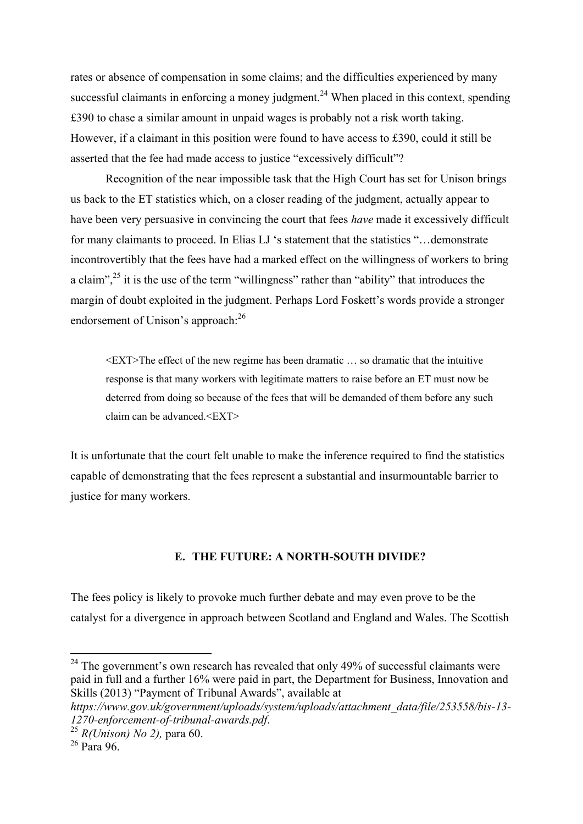rates or absence of compensation in some claims; and the difficulties experienced by many successful claimants in enforcing a money judgment.<sup>24</sup> When placed in this context, spending £390 to chase a similar amount in unpaid wages is probably not a risk worth taking. However, if a claimant in this position were found to have access to £390, could it still be asserted that the fee had made access to justice "excessively difficult"?

Recognition of the near impossible task that the High Court has set for Unison brings us back to the ET statistics which, on a closer reading of the judgment, actually appear to have been very persuasive in convincing the court that fees *have* made it excessively difficult for many claimants to proceed. In Elias LJ 's statement that the statistics "…demonstrate incontrovertibly that the fees have had a marked effect on the willingness of workers to bring a claim",<sup>25</sup> it is the use of the term "willingness" rather than "ability" that introduces the margin of doubt exploited in the judgment. Perhaps Lord Foskett's words provide a stronger endorsement of Unison's approach:<sup>26</sup>

<EXT>The effect of the new regime has been dramatic … so dramatic that the intuitive response is that many workers with legitimate matters to raise before an ET must now be deterred from doing so because of the fees that will be demanded of them before any such claim can be advanced  $\leq$ EXT $>$ 

It is unfortunate that the court felt unable to make the inference required to find the statistics capable of demonstrating that the fees represent a substantial and insurmountable barrier to justice for many workers.

## **E. THE FUTURE: A NORTH-SOUTH DIVIDE?**

The fees policy is likely to provoke much further debate and may even prove to be the catalyst for a divergence in approach between Scotland and England and Wales. The Scottish

 $24$  The government's own research has revealed that only 49% of successful claimants were paid in full and a further 16% were paid in part, the Department for Business, Innovation and Skills (2013) "Payment of Tribunal Awards", available at

*https://www.gov.uk/government/uploads/system/uploads/attachment\_data/file/253558/bis-13- 1270-enforcement-of-tribunal-awards.pdf*.

<sup>25</sup> *R(Unison) No 2),* para 60.

 $26$  Para 96